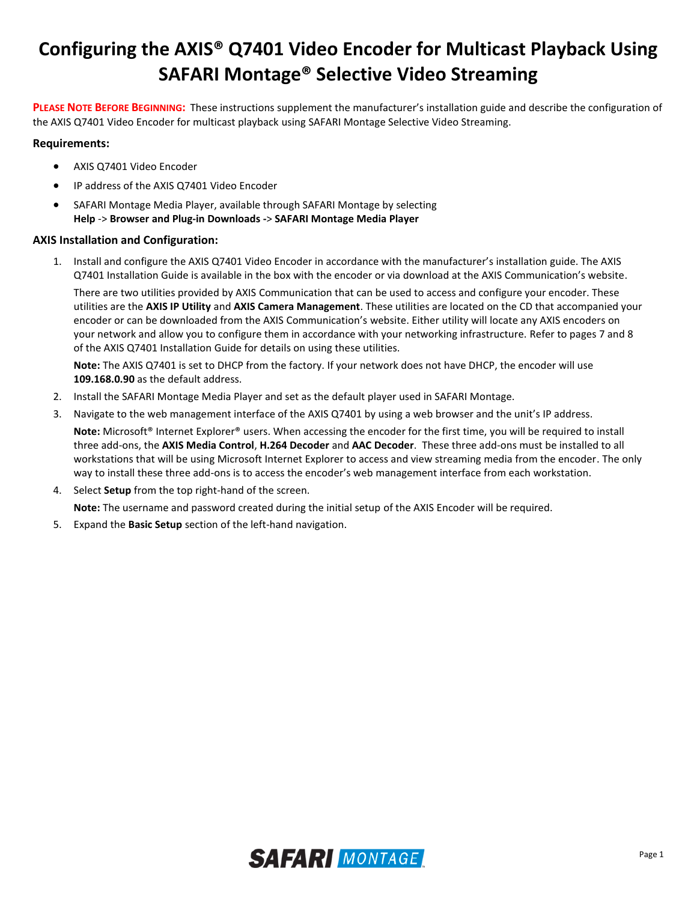# **Configuring the AXIS® Q7401 Video Encoder for Multicast Playback Using SAFARI Montage® Selective Video Streaming**

**PLEASE NOTE BEFORE BEGINNING:** These instructions supplement the manufacturer's installation guide and describe the configuration of the AXIS Q7401 Video Encoder for multicast playback using SAFARI Montage Selective Video Streaming.

# **Requirements:**

- AXIS Q7401 Video Encoder
- IP address of the AXIS Q7401 Video Encoder
- SAFARI Montage Media Player, available through SAFARI Montage by selecting **Help** -> **Browser and Plug-in Downloads -**> **SAFARI Montage Media Player**

## **AXIS Installation and Configuration:**

1. Install and configure the AXIS Q7401 Video Encoder in accordance with the manufacturer's installation guide. The AXIS Q7401 Installation Guide is available in the box with the encoder or via download at the AXIS Communication's website.

There are two utilities provided by AXIS Communication that can be used to access and configure your encoder. These utilities are the **AXIS IP Utility** and **AXIS Camera Management**. These utilities are located on the CD that accompanied your encoder or can be downloaded from the AXIS Communication's website. Either utility will locate any AXIS encoders on your network and allow you to configure them in accordance with your networking infrastructure. Refer to pages 7 and 8 of the AXIS Q7401 Installation Guide for details on using these utilities.

**Note:** The AXIS Q7401 is set to DHCP from the factory. If your network does not have DHCP, the encoder will use **109.168.0.90** as the default address.

- 2. Install the SAFARI Montage Media Player and set as the default player used in SAFARI Montage.
- 3. Navigate to the web management interface of the AXIS Q7401 by using a web browser and the unit's IP address.

**Note:** Microsoft® Internet Explorer® users. When accessing the encoder for the first time, you will be required to install three add-ons, the **AXIS Media Control**, **H.264 Decoder** and **AAC Decoder**. These three add-ons must be installed to all workstations that will be using Microsoft Internet Explorer to access and view streaming media from the encoder. The only way to install these three add-ons is to access the encoder's web management interface from each workstation.

4. Select **Setup** from the top right-hand of the screen.

**Note:** The username and password created during the initial setup of the AXIS Encoder will be required.

5. Expand the **Basic Setup** section of the left-hand navigation.

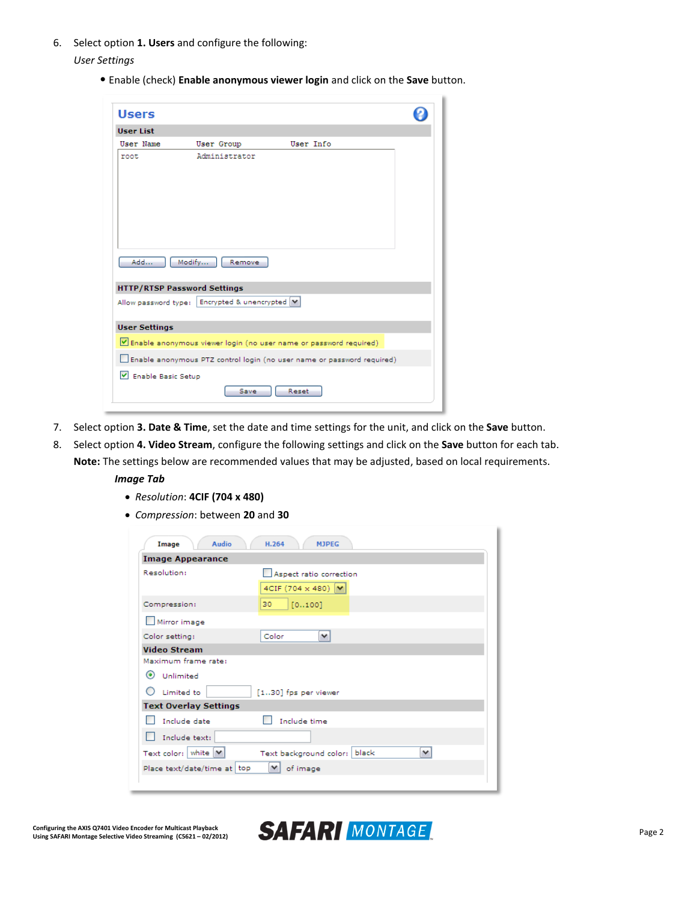6. Select option **1. Users** and configure the following:

*User Settings*

• Enable (check) **Enable anonymous viewer login** and click on the **Save** button.

| <b>Users</b>         |                                                        |                                                                        |  |
|----------------------|--------------------------------------------------------|------------------------------------------------------------------------|--|
| <b>User List</b>     |                                                        |                                                                        |  |
| <b>User Name</b>     | User Group                                             | User Info                                                              |  |
| root                 | Administrator                                          |                                                                        |  |
| Add                  | Modify<br>Remove<br><b>HTTP/RTSP Password Settings</b> |                                                                        |  |
|                      | Allow password type:   Encrypted & unencrypted M       |                                                                        |  |
| <b>User Settings</b> |                                                        |                                                                        |  |
|                      |                                                        | Enable anonymous viewer login (no user name or password required)      |  |
|                      |                                                        | Enable anonymous PTZ control login (no user name or password required) |  |
| V Enable Basic Setup | Save                                                   | Reset                                                                  |  |

- 7. Select option **3. Date & Time**, set the date and time settings for the unit, and click on the **Save** button.
- 8. Select option **4. Video Stream**, configure the following settings and click on the **Save** button for each tab.

**Note:** The settings below are recommended values that may be adjusted, based on local requirements.

- *Image Tab*
	- *Resolution*: **4CIF (704 x 480)**
	- *Compression*: between **20** and **30**

| Audio<br>Image               | H.264<br><b>MJPEG</b>                            |
|------------------------------|--------------------------------------------------|
| <b>Image Appearance</b>      |                                                  |
| Resolution:                  | Aspect ratio correction                          |
|                              | 4CIF (704 $\times$ 480) $\vert \mathbf{v} \vert$ |
| Compression:                 | 30<br>[0100]                                     |
| Mirror image                 |                                                  |
| Color setting:               | Color<br>v                                       |
| <b>Video Stream</b>          |                                                  |
| Maximum frame rate:          |                                                  |
| $\circ$<br>Unlimited         |                                                  |
| Limited to                   | [130] fps per viewer                             |
| <b>Text Overlay Settings</b> |                                                  |
| Include date                 | Include time                                     |
| Include text:                |                                                  |
| Text color:   white   M      | black<br>v<br>Text background color:             |
| Place text/date/time at top  | of image                                         |
|                              |                                                  |

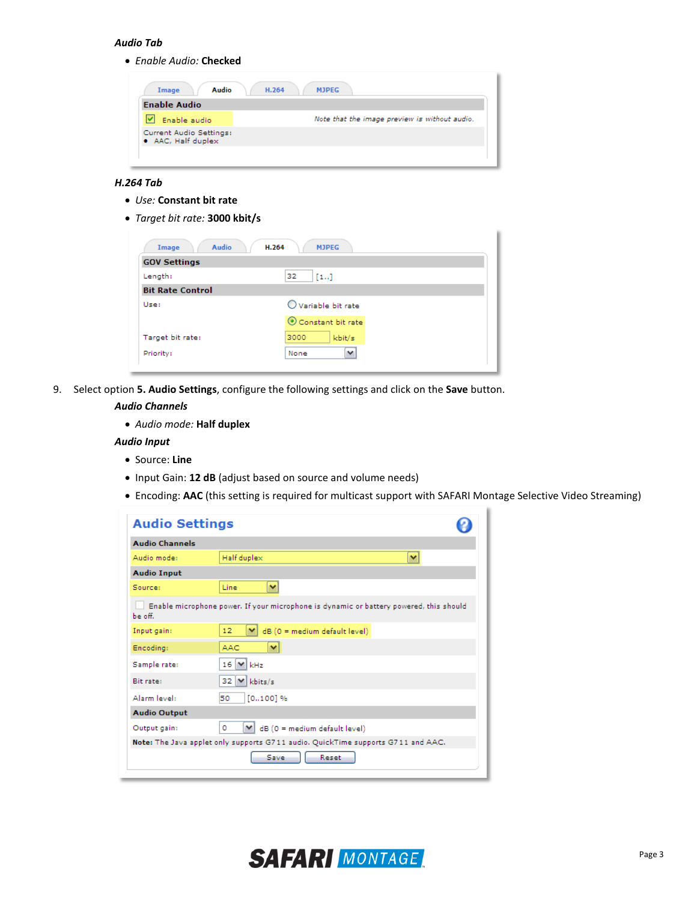## *Audio Tab*

*Enable Audio:* **Checked**

| Audio<br>Image                                | H.264<br><b>MJPEG</b>                         |
|-----------------------------------------------|-----------------------------------------------|
| <b>Enable Audio</b>                           |                                               |
| Enable audio                                  | Note that the image preview is without audio. |
| Current Audio Settings:<br>• AAC, Half duplex |                                               |
|                                               |                                               |

#### *H.264 Tab*

- *Use:* **Constant bit rate**
- *Target bit rate:* **3000 kbit/s**

| Audio<br>Image          | H.264<br><b>MJPEG</b> |  |
|-------------------------|-----------------------|--|
| <b>GOV Settings</b>     |                       |  |
| Length:                 | 32<br>$[1]$           |  |
| <b>Bit Rate Control</b> |                       |  |
| Use:                    | O Variable bit rate   |  |
|                         | Constant bit rate     |  |
| Target bit rate:        | 3000<br>kbit/s        |  |
| Priority:               | v<br>None             |  |

9. Select option **5. Audio Settings**, configure the following settings and click on the **Save** button.

## *Audio Channels*

*Audio mode:* **Half duplex**

#### *Audio Input*

- Source: **Line**
- Input Gain: **12 dB** (adjust based on source and volume needs)
- Encoding: **AAC** (this setting is required for multicast support with SAFARI Montage Selective Video Streaming)

| <b>Audio Settings</b> |                                                                                        |  |
|-----------------------|----------------------------------------------------------------------------------------|--|
| <b>Audio Channels</b> |                                                                                        |  |
| Audio mode:           | Half duplex<br>×                                                                       |  |
| <b>Audio Input</b>    |                                                                                        |  |
| Sources               | v<br>Line                                                                              |  |
| be off.               | Enable microphone power. If your microphone is dynamic or battery powered, this should |  |
| Input gain:           | 12 <sub>2</sub><br>$dB(0 = medium defined)$<br>M                                       |  |
| Encoding:             | $\checkmark$<br><b>AAC</b>                                                             |  |
| Sample rate:          | $16$ $\vee$<br>kHz                                                                     |  |
| <b>Bit rate:</b>      | 32 V kbits/s                                                                           |  |
| Alarm level:          | $[0100]$ %<br>50                                                                       |  |
| <b>Audio Output</b>   |                                                                                        |  |
| Output gain:          | dB (0 = medium default level)<br>٥<br>v                                                |  |
|                       | Note: The Java applet only supports G711 audio. QuickTime supports G711 and AAC.       |  |
|                       | Save<br>Reset                                                                          |  |

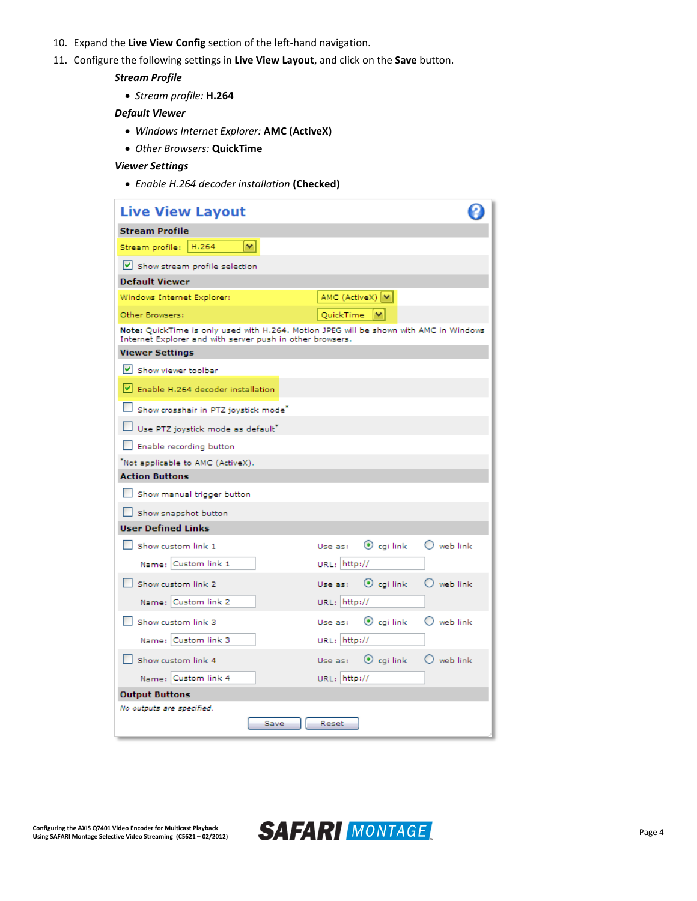- 10. Expand the **Live View Config** section of the left-hand navigation.
- 11. Configure the following settings in **Live View Layout**, and click on the **Save** button.

## *Stream Profile*

*Stream profile:* **H.264**

### *Default Viewer*

- *Windows Internet Explorer:* **AMC (ActiveX)**
- *Other Browsers:* **QuickTime**

### *Viewer Settings*

*Enable H.264 decoder installation* **(Checked)**

| <b>Live View Layout</b>                                                                                                                             |                                                    |
|-----------------------------------------------------------------------------------------------------------------------------------------------------|----------------------------------------------------|
| <b>Stream Profile</b>                                                                                                                               |                                                    |
| H.264<br>M<br>Stream profile:                                                                                                                       |                                                    |
| Show stream profile selection                                                                                                                       |                                                    |
| <b>Default Viewer</b>                                                                                                                               |                                                    |
| Windows Internet Explorer:                                                                                                                          | AMC (ActiveX)  V                                   |
| Other Browsers:                                                                                                                                     | QuickTime<br>v                                     |
| Note: QuickTime is only used with H.264. Motion JPEG will be shown with AMC in Windows<br>Internet Explorer and with server push in other browsers. |                                                    |
| <b>Viewer Settings</b>                                                                                                                              |                                                    |
| V Show viewer toolbar                                                                                                                               |                                                    |
| Enable H.264 decoder installation                                                                                                                   |                                                    |
| Show crosshair in PTZ joystick mode"                                                                                                                |                                                    |
| Use PTZ joystick mode as default*                                                                                                                   |                                                    |
| Enable recording button                                                                                                                             |                                                    |
| "Not applicable to AMC (ActiveX).                                                                                                                   |                                                    |
| <b>Action Buttons</b>                                                                                                                               |                                                    |
| Show manual trigger button                                                                                                                          |                                                    |
| Show snapshot button                                                                                                                                |                                                    |
| <b>User Defined Links</b>                                                                                                                           |                                                    |
| Show custom link 1                                                                                                                                  | $\odot$ cgi link<br>$\bigcirc$ web link<br>Use as: |
| Name: Custom link 1                                                                                                                                 | URL: http://                                       |
| Show custom link 2                                                                                                                                  | $\odot$ cgi link<br>$\bigcirc$ web link<br>Use as: |
| Name: Custom link 2                                                                                                                                 | URL: http://                                       |
| Show custom link 3                                                                                                                                  | $\odot$ cgi link<br>$\bigcirc$ web link<br>Use as: |
| Name: Custom link 3                                                                                                                                 | URL: http://                                       |
| Show custom link 4                                                                                                                                  | $\odot$ cgi link<br>$\bigcirc$ web link<br>Use as: |
| Name: Custom link 4                                                                                                                                 | URL: http://                                       |
| <b>Output Buttons</b>                                                                                                                               |                                                    |
| No outputs are specified.                                                                                                                           |                                                    |
| Save                                                                                                                                                | Reset                                              |

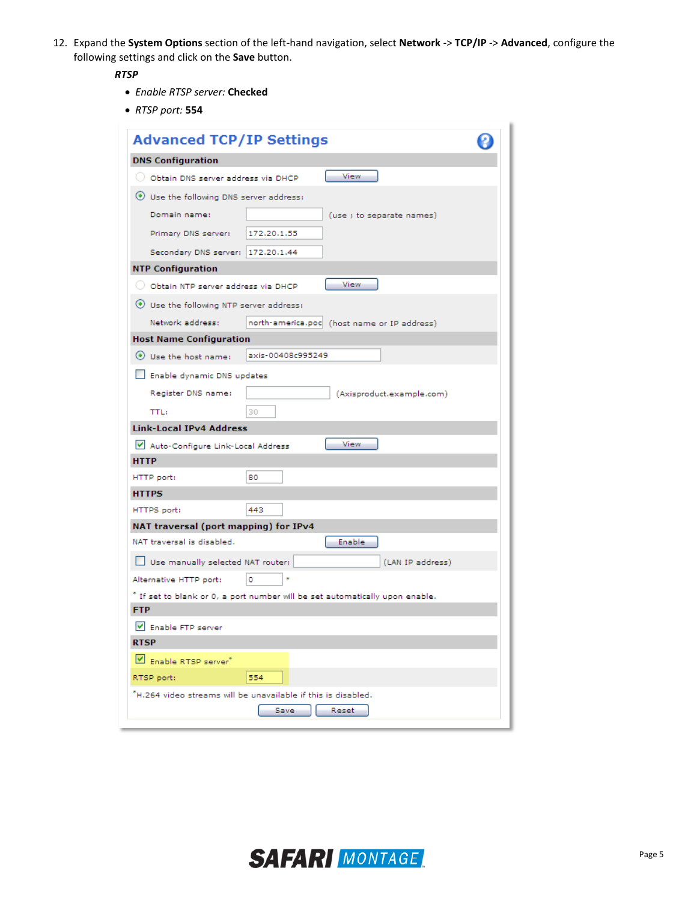12. Expand the **System Options** section of the left-hand navigation, select **Network** -> **TCP/IP** -> **Advanced**, configure the following settings and click on the **Save** button.

## *RTSP*

- *Enable RTSP server:* **Checked**
- *RTSP port:* **554**

| <b>Advanced TCP/IP Settings</b>                                                |  |  |
|--------------------------------------------------------------------------------|--|--|
| <b>DNS Configuration</b>                                                       |  |  |
| View<br>O Obtain DNS server address via DHCP                                   |  |  |
| Use the following DNS server address:                                          |  |  |
| Domain name:<br>(use ; to separate names)                                      |  |  |
| Primary DNS server:<br>172.20.1.55                                             |  |  |
|                                                                                |  |  |
| Secondary DNS server: 172.20.1.44                                              |  |  |
| <b>NTP Configuration</b><br>View                                               |  |  |
| O Obtain NTP server address via DHCP                                           |  |  |
| ⊙ Use the following NTP server address:                                        |  |  |
| Network address:<br>north-america.poc (host name or IP address)                |  |  |
| <b>Host Name Configuration</b>                                                 |  |  |
| Use the host name:<br>axis-00408c995249                                        |  |  |
| Enable dynamic DNS updates                                                     |  |  |
| Register DNS name:<br>(Axisproduct.example.com)                                |  |  |
| 30<br><b>TTL:</b>                                                              |  |  |
| <b>Link-Local IPv4 Address</b>                                                 |  |  |
| <b>View</b><br>Auto-Configure Link-Local Address                               |  |  |
| <b>HTTP</b>                                                                    |  |  |
| HTTP port:<br>80                                                               |  |  |
| <b>HTTPS</b>                                                                   |  |  |
| 443<br>HTTPS port:                                                             |  |  |
| NAT traversal (port mapping) for IPv4                                          |  |  |
| NAT traversal is disabled.<br>Enable                                           |  |  |
| (LAN IP address)<br>Use manually selected NAT router:                          |  |  |
| Alternative HTTP port:<br>٥                                                    |  |  |
| " If set to blank or 0, a port number will be set automatically upon enable.   |  |  |
| <b>FTP</b>                                                                     |  |  |
| V Enable FTP server                                                            |  |  |
| <b>RTSP</b>                                                                    |  |  |
| Enable RTSP server <sup>*</sup>                                                |  |  |
| 554<br>RTSP port:                                                              |  |  |
| "H.264 video streams will be unavailable if this is disabled.<br>Save<br>Reset |  |  |
|                                                                                |  |  |

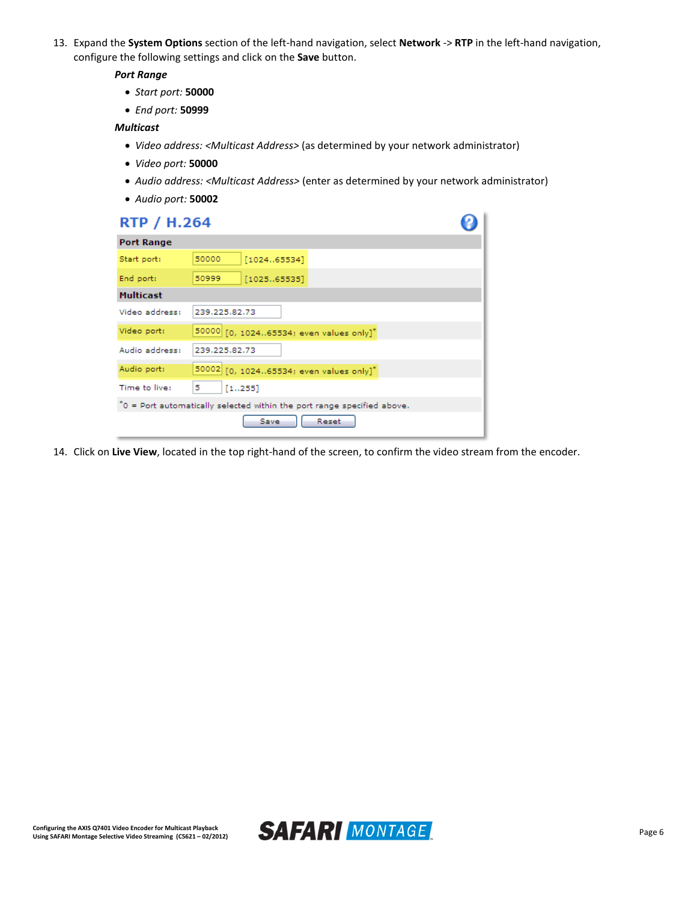13. Expand the **System Options** section of the left-hand navigation, select **Network** -> **RTP** in the left-hand navigation, configure the following settings and click on the **Save** button.

### *Port Range*

- *Start port:* **50000**
- *End port:* **50999**

#### *Multicast*

- *Video address: <Multicast Address>* (as determined by your network administrator)
- *Video port:* **50000**
- *Audio address: <Multicast Address>* (enter as determined by your network administrator)
- *Audio port:* **50002**

| <b>RTP / H.264</b> |                                                                         |  |
|--------------------|-------------------------------------------------------------------------|--|
| <b>Port Range</b>  |                                                                         |  |
| Start port:        | 50000<br>[102465534]                                                    |  |
| End port:          | 50999<br>[102565535]                                                    |  |
| <b>Multicast</b>   |                                                                         |  |
| Video address:     | 239.225.82.73                                                           |  |
| Video port:        | 50000 [0, 102465534; even values only]"                                 |  |
| Audio address:     | 239.225.82.73                                                           |  |
| Audio port:        | 50002 [0, 102465534; even values only]*                                 |  |
| Time to live:      | 5<br>[1255]                                                             |  |
|                    | ^0 = Port automatically selected within the port range specified above. |  |
|                    | Reset<br>Save                                                           |  |

14. Click on **Live View**, located in the top right-hand of the screen, to confirm the video stream from the encoder.

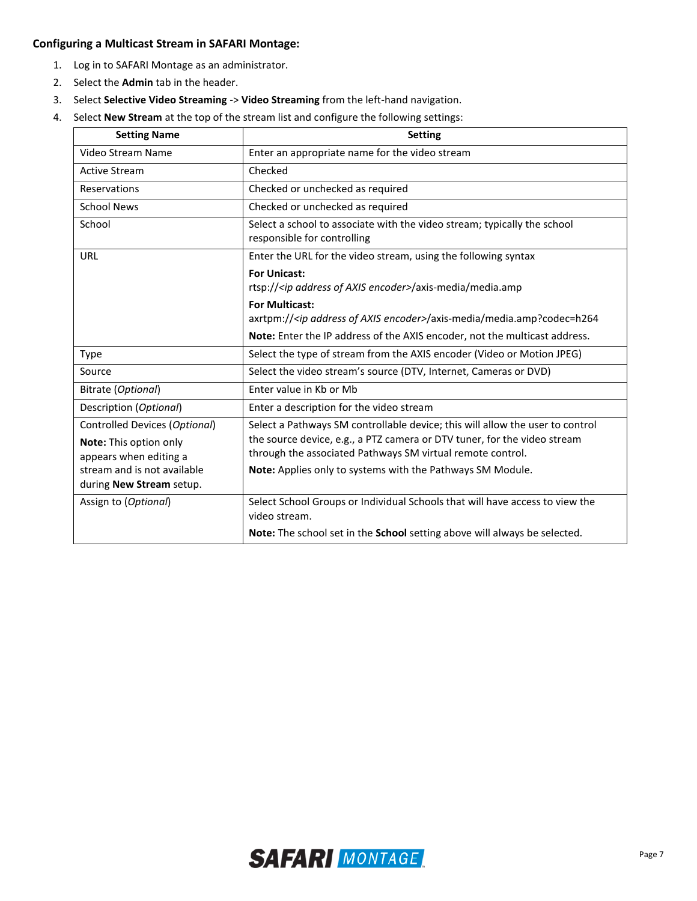## **Configuring a Multicast Stream in SAFARI Montage:**

- 1. Log in to SAFARI Montage as an administrator.
- 2. Select the **Admin** tab in the header.
- 3. Select **Selective Video Streaming** -> **Video Streaming** from the left-hand navigation.
- 4. Select **New Stream** at the top of the stream list and configure the following settings:

| <b>Setting Name</b>                                     | <b>Setting</b>                                                                                                                         |
|---------------------------------------------------------|----------------------------------------------------------------------------------------------------------------------------------------|
| Video Stream Name                                       | Enter an appropriate name for the video stream                                                                                         |
| <b>Active Stream</b>                                    | Checked                                                                                                                                |
| Reservations                                            | Checked or unchecked as required                                                                                                       |
| <b>School News</b>                                      | Checked or unchecked as required                                                                                                       |
| School                                                  | Select a school to associate with the video stream; typically the school<br>responsible for controlling                                |
| URL                                                     | Enter the URL for the video stream, using the following syntax                                                                         |
|                                                         | <b>For Unicast:</b><br>rtsp:// <ip address="" axis="" encoder="" of="">/axis-media/media.amp</ip>                                      |
|                                                         | <b>For Multicast:</b><br>axrtpm:// <ip address="" axis="" encoder="" of="">/axis-media/media.amp?codec=h264</ip>                       |
|                                                         | Note: Enter the IP address of the AXIS encoder, not the multicast address.                                                             |
| <b>Type</b>                                             | Select the type of stream from the AXIS encoder (Video or Motion JPEG)                                                                 |
| Source                                                  | Select the video stream's source (DTV, Internet, Cameras or DVD)                                                                       |
| Bitrate (Optional)                                      | Enter value in Kb or Mb                                                                                                                |
| Description (Optional)                                  | Enter a description for the video stream                                                                                               |
| Controlled Devices (Optional)                           | Select a Pathways SM controllable device; this will allow the user to control                                                          |
| Note: This option only<br>appears when editing a        | the source device, e.g., a PTZ camera or DTV tuner, for the video stream<br>through the associated Pathways SM virtual remote control. |
| stream and is not available<br>during New Stream setup. | Note: Applies only to systems with the Pathways SM Module.                                                                             |
| Assign to (Optional)                                    | Select School Groups or Individual Schools that will have access to view the<br>video stream.                                          |
|                                                         | Note: The school set in the School setting above will always be selected.                                                              |